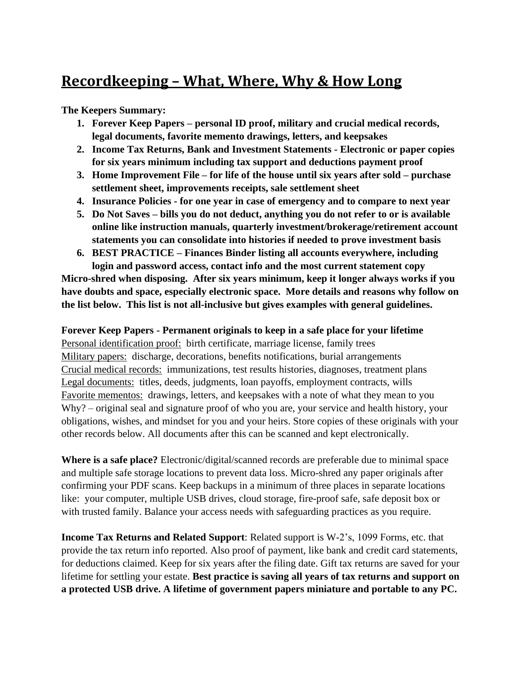## **Recordkeeping – What, Where, Why & How Long**

**The Keepers Summary:**

- **1. Forever Keep Papers – personal ID proof, military and crucial medical records, legal documents, favorite memento drawings, letters, and keepsakes**
- **2. Income Tax Returns, Bank and Investment Statements - Electronic or paper copies for six years minimum including tax support and deductions payment proof**
- **3. Home Improvement File – for life of the house until six years after sold – purchase settlement sheet, improvements receipts, sale settlement sheet**
- **4. Insurance Policies - for one year in case of emergency and to compare to next year**
- **5. Do Not Saves – bills you do not deduct, anything you do not refer to or is available online like instruction manuals, quarterly investment/brokerage/retirement account statements you can consolidate into histories if needed to prove investment basis**
- **6. BEST PRACTICE – Finances Binder listing all accounts everywhere, including login and password access, contact info and the most current statement copy**

**Micro-shred when disposing. After six years minimum, keep it longer always works if you have doubts and space, especially electronic space. More details and reasons why follow on the list below. This list is not all-inclusive but gives examples with general guidelines.**

## **Forever Keep Papers - Permanent originals to keep in a safe place for your lifetime**

Personal identification proof: birth certificate, marriage license, family trees Military papers: discharge, decorations, benefits notifications, burial arrangements Crucial medical records: immunizations, test results histories, diagnoses, treatment plans Legal documents: titles, deeds, judgments, loan payoffs, employment contracts, wills Favorite mementos: drawings, letters, and keepsakes with a note of what they mean to you Why? – original seal and signature proof of who you are, your service and health history, your obligations, wishes, and mindset for you and your heirs. Store copies of these originals with your other records below. All documents after this can be scanned and kept electronically.

**Where is a safe place?** Electronic/digital/scanned records are preferable due to minimal space and multiple safe storage locations to prevent data loss. Micro-shred any paper originals after confirming your PDF scans. Keep backups in a minimum of three places in separate locations like: your computer, multiple USB drives, cloud storage, fire-proof safe, safe deposit box or with trusted family. Balance your access needs with safeguarding practices as you require.

**Income Tax Returns and Related Support**: Related support is W-2's, 1099 Forms, etc. that provide the tax return info reported. Also proof of payment, like bank and credit card statements, for deductions claimed. Keep for six years after the filing date. Gift tax returns are saved for your lifetime for settling your estate. **Best practice is saving all years of tax returns and support on a protected USB drive. A lifetime of government papers miniature and portable to any PC.**